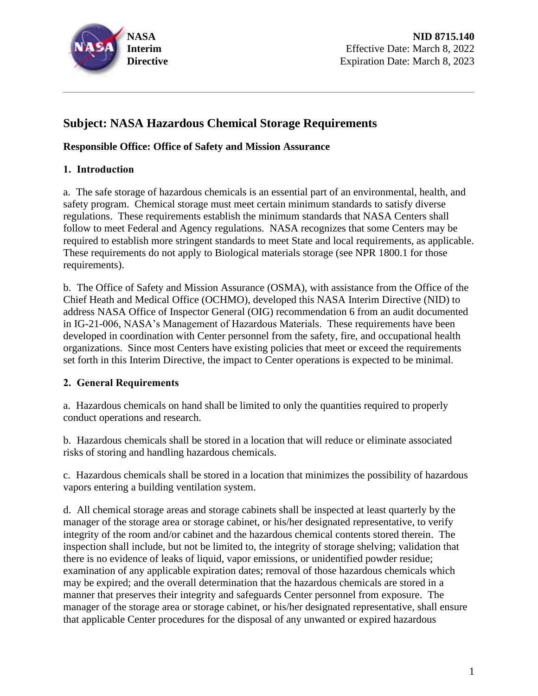

# **Subject: NASA Hazardous Chemical Storage Requirements**

#### **Responsible Office: Office of Safety and Mission Assurance**

#### **1. Introduction**

a. The safe storage of hazardous chemicals is an essential part of an environmental, health, and safety program. Chemical storage must meet certain minimum standards to satisfy diverse regulations. These requirements establish the minimum standards that NASA Centers shall follow to meet Federal and Agency regulations. NASA recognizes that some Centers may be required to establish more stringent standards to meet State and local requirements, as applicable. These requirements do not apply to Biological materials storage (see NPR 1800.1 for those requirements).

b. The Office of Safety and Mission Assurance (OSMA), with assistance from the Office of the Chief Heath and Medical Office (OCHMO), developed this NASA Interim Directive (NID) to address NASA Office of Inspector General (OIG) recommendation 6 from an audit documented in IG-21-006, NASA's Management of Hazardous Materials. These requirements have been developed in coordination with Center personnel from the safety, fire, and occupational health organizations. Since most Centers have existing policies that meet or exceed the requirements set forth in this Interim Directive, the impact to Center operations is expected to be minimal.

#### **2. General Requirements**

a. Hazardous chemicals on hand shall be limited to only the quantities required to properly conduct operations and research.

b. Hazardous chemicals shall be stored in a location that will reduce or eliminate associated risks of storing and handling hazardous chemicals.

c. Hazardous chemicals shall be stored in a location that minimizes the possibility of hazardous vapors entering a building ventilation system.

d. All chemical storage areas and storage cabinets shall be inspected at least quarterly by the manager of the storage area or storage cabinet, or his/her designated representative, to verify integrity of the room and/or cabinet and the hazardous chemical contents stored therein. The inspection shall include, but not be limited to, the integrity of storage shelving; validation that there is no evidence of leaks of liquid, vapor emissions, or unidentified powder residue; examination of any applicable expiration dates; removal of those hazardous chemicals which may be expired; and the overall determination that the hazardous chemicals are stored in a manner that preserves their integrity and safeguards Center personnel from exposure. The manager of the storage area or storage cabinet, or his/her designated representative, shall ensure that applicable Center procedures for the disposal of any unwanted or expired hazardous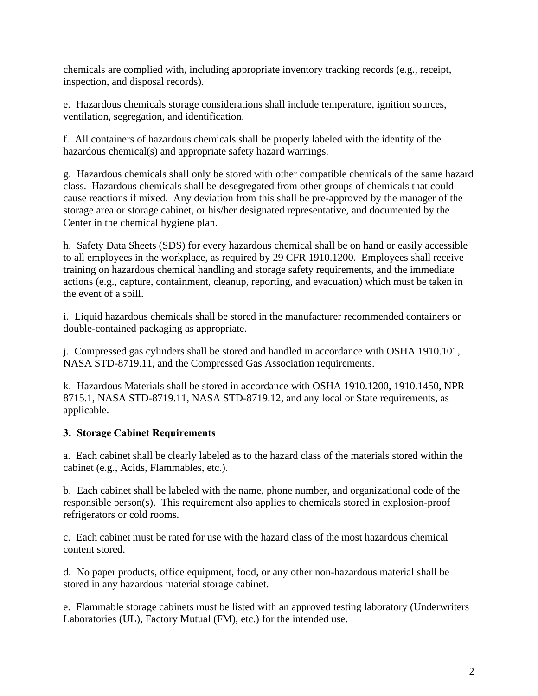chemicals are complied with, including appropriate inventory tracking records (e.g., receipt, inspection, and disposal records).

e. Hazardous chemicals storage considerations shall include temperature, ignition sources, ventilation, segregation, and identification.

f. All containers of hazardous chemicals shall be properly labeled with the identity of the hazardous chemical(s) and appropriate safety hazard warnings.

g. Hazardous chemicals shall only be stored with other compatible chemicals of the same hazard class. Hazardous chemicals shall be desegregated from other groups of chemicals that could cause reactions if mixed. Any deviation from this shall be pre-approved by the manager of the storage area or storage cabinet, or his/her designated representative, and documented by the Center in the chemical hygiene plan.

h. Safety Data Sheets (SDS) for every hazardous chemical shall be on hand or easily accessible to all employees in the workplace, as required by 29 CFR 1910.1200. Employees shall receive training on hazardous chemical handling and storage safety requirements, and the immediate actions (e.g., capture, containment, cleanup, reporting, and evacuation) which must be taken in the event of a spill.

i. Liquid hazardous chemicals shall be stored in the manufacturer recommended containers or double-contained packaging as appropriate.

j. Compressed gas cylinders shall be stored and handled in accordance with OSHA 1910.101, NASA STD-8719.11, and the Compressed Gas Association requirements.

k. Hazardous Materials shall be stored in accordance with OSHA 1910.1200, 1910.1450, NPR 8715.1, NASA STD-8719.11, NASA STD-8719.12, and any local or State requirements, as applicable.

## **3. Storage Cabinet Requirements**

a. Each cabinet shall be clearly labeled as to the hazard class of the materials stored within the cabinet (e.g., Acids, Flammables, etc.).

b. Each cabinet shall be labeled with the name, phone number, and organizational code of the responsible person(s). This requirement also applies to chemicals stored in explosion-proof refrigerators or cold rooms.

c. Each cabinet must be rated for use with the hazard class of the most hazardous chemical content stored.

d. No paper products, office equipment, food, or any other non-hazardous material shall be stored in any hazardous material storage cabinet.

e. Flammable storage cabinets must be listed with an approved testing laboratory (Underwriters Laboratories (UL), Factory Mutual (FM), etc.) for the intended use.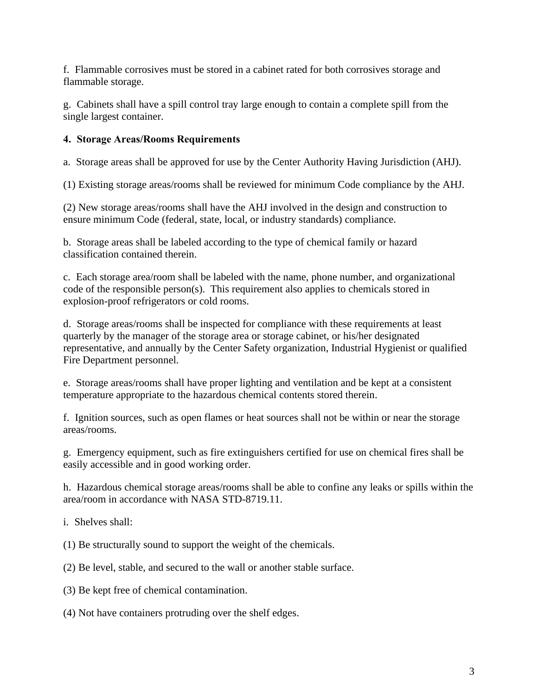f. Flammable corrosives must be stored in a cabinet rated for both corrosives storage and flammable storage.

g. Cabinets shall have a spill control tray large enough to contain a complete spill from the single largest container.

#### **4. Storage Areas/Rooms Requirements**

a. Storage areas shall be approved for use by the Center Authority Having Jurisdiction (AHJ).

(1) Existing storage areas/rooms shall be reviewed for minimum Code compliance by the AHJ.

(2) New storage areas/rooms shall have the AHJ involved in the design and construction to ensure minimum Code (federal, state, local, or industry standards) compliance.

b. Storage areas shall be labeled according to the type of chemical family or hazard classification contained therein.

c. Each storage area/room shall be labeled with the name, phone number, and organizational code of the responsible person(s). This requirement also applies to chemicals stored in explosion-proof refrigerators or cold rooms.

d. Storage areas/rooms shall be inspected for compliance with these requirements at least quarterly by the manager of the storage area or storage cabinet, or his/her designated representative, and annually by the Center Safety organization, Industrial Hygienist or qualified Fire Department personnel.

e. Storage areas/rooms shall have proper lighting and ventilation and be kept at a consistent temperature appropriate to the hazardous chemical contents stored therein.

f. Ignition sources, such as open flames or heat sources shall not be within or near the storage areas/rooms.

g. Emergency equipment, such as fire extinguishers certified for use on chemical fires shall be easily accessible and in good working order.

h. Hazardous chemical storage areas/rooms shall be able to confine any leaks or spills within the area/room in accordance with NASA STD-8719.11.

i. Shelves shall:

(1) Be structurally sound to support the weight of the chemicals.

(2) Be level, stable, and secured to the wall or another stable surface.

(3) Be kept free of chemical contamination.

(4) Not have containers protruding over the shelf edges.